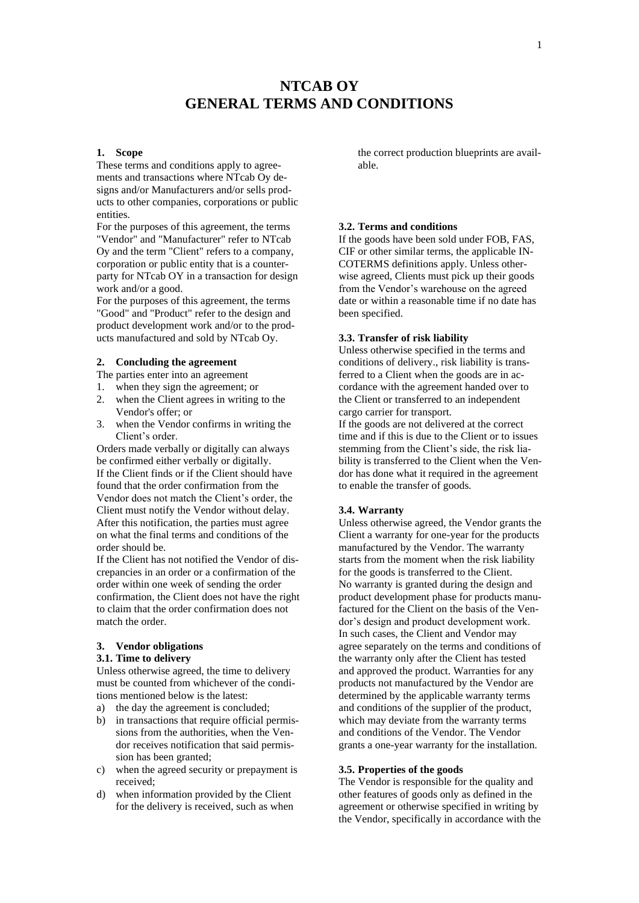# **NTCAB OY GENERAL TERMS AND CONDITIONS**

#### **1. Scope**

These terms and conditions apply to agreements and transactions where NTcab Oy designs and/or Manufacturers and/or sells products to other companies, corporations or public entities.

For the purposes of this agreement, the terms "Vendor" and "Manufacturer" refer to NTcab Oy and the term "Client" refers to a company, corporation or public entity that is a counterparty for NTcab OY in a transaction for design work and/or a good.

For the purposes of this agreement, the terms "Good" and "Product" refer to the design and product development work and/or to the products manufactured and sold by NTcab Oy.

# **2. Concluding the agreement**

The parties enter into an agreement

- 1. when they sign the agreement; or
- 2. when the Client agrees in writing to the Vendor's offer; or
- 3. when the Vendor confirms in writing the Client's order.

Orders made verbally or digitally can always be confirmed either verbally or digitally. If the Client finds or if the Client should have found that the order confirmation from the Vendor does not match the Client's order, the Client must notify the Vendor without delay. After this notification, the parties must agree on what the final terms and conditions of the order should be.

If the Client has not notified the Vendor of discrepancies in an order or a confirmation of the order within one week of sending the order confirmation, the Client does not have the right to claim that the order confirmation does not match the order.

# **3. Vendor obligations**

# **3.1. Time to delivery**

Unless otherwise agreed, the time to delivery must be counted from whichever of the conditions mentioned below is the latest:

- a) the day the agreement is concluded;
- b) in transactions that require official permissions from the authorities, when the Vendor receives notification that said permission has been granted;
- c) when the agreed security or prepayment is received;
- d) when information provided by the Client for the delivery is received, such as when

the correct production blueprints are available.

#### **3.2. Terms and conditions**

If the goods have been sold under FOB, FAS, CIF or other similar terms, the applicable IN-COTERMS definitions apply. Unless otherwise agreed, Clients must pick up their goods from the Vendor's warehouse on the agreed date or within a reasonable time if no date has been specified.

# **3.3. Transfer of risk liability**

Unless otherwise specified in the terms and conditions of delivery., risk liability is transferred to a Client when the goods are in accordance with the agreement handed over to the Client or transferred to an independent cargo carrier for transport.

If the goods are not delivered at the correct time and if this is due to the Client or to issues stemming from the Client's side, the risk liability is transferred to the Client when the Vendor has done what it required in the agreement to enable the transfer of goods.

# **3.4. Warranty**

Unless otherwise agreed, the Vendor grants the Client a warranty for one-year for the products manufactured by the Vendor. The warranty starts from the moment when the risk liability for the goods is transferred to the Client. No warranty is granted during the design and product development phase for products manufactured for the Client on the basis of the Vendor's design and product development work. In such cases, the Client and Vendor may agree separately on the terms and conditions of the warranty only after the Client has tested and approved the product. Warranties for any products not manufactured by the Vendor are determined by the applicable warranty terms and conditions of the supplier of the product, which may deviate from the warranty terms and conditions of the Vendor. The Vendor grants a one-year warranty for the installation.

#### **3.5. Properties of the goods**

The Vendor is responsible for the quality and other features of goods only as defined in the agreement or otherwise specified in writing by the Vendor, specifically in accordance with the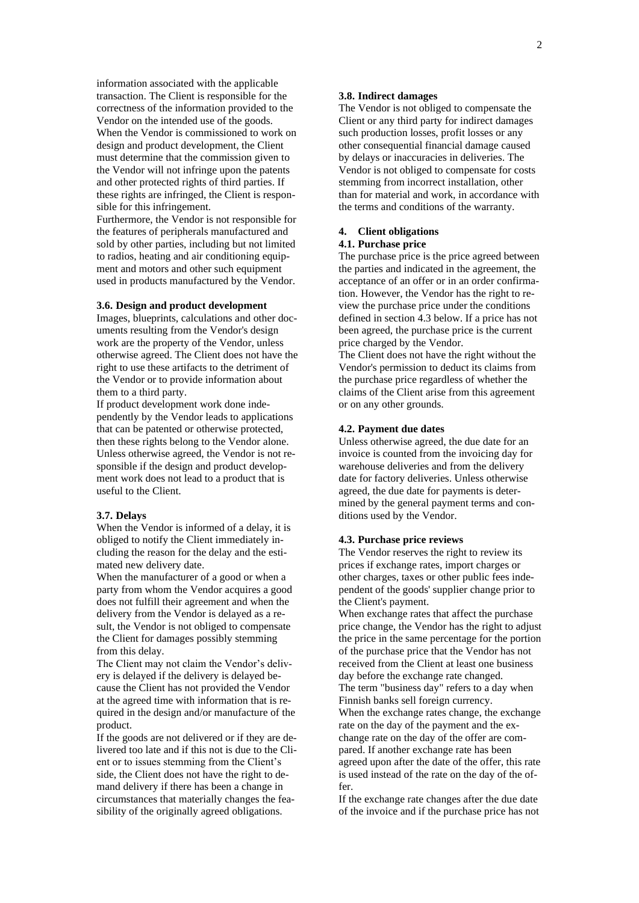information associated with the applicable transaction. The Client is responsible for the correctness of the information provided to the Vendor on the intended use of the goods. When the Vendor is commissioned to work on design and product development, the Client must determine that the commission given to the Vendor will not infringe upon the patents and other protected rights of third parties. If these rights are infringed, the Client is responsible for this infringement. Furthermore, the Vendor is not responsible for

the features of peripherals manufactured and sold by other parties, including but not limited to radios, heating and air conditioning equipment and motors and other such equipment used in products manufactured by the Vendor.

#### **3.6. Design and product development**

Images, blueprints, calculations and other documents resulting from the Vendor's design work are the property of the Vendor, unless otherwise agreed. The Client does not have the right to use these artifacts to the detriment of the Vendor or to provide information about them to a third party.

If product development work done independently by the Vendor leads to applications that can be patented or otherwise protected, then these rights belong to the Vendor alone. Unless otherwise agreed, the Vendor is not responsible if the design and product development work does not lead to a product that is useful to the Client.

#### **3.7. Delays**

When the Vendor is informed of a delay, it is obliged to notify the Client immediately including the reason for the delay and the estimated new delivery date.

When the manufacturer of a good or when a party from whom the Vendor acquires a good does not fulfill their agreement and when the delivery from the Vendor is delayed as a result, the Vendor is not obliged to compensate the Client for damages possibly stemming from this delay.

The Client may not claim the Vendor's delivery is delayed if the delivery is delayed because the Client has not provided the Vendor at the agreed time with information that is required in the design and/or manufacture of the product.

If the goods are not delivered or if they are delivered too late and if this not is due to the Client or to issues stemming from the Client's side, the Client does not have the right to demand delivery if there has been a change in circumstances that materially changes the feasibility of the originally agreed obligations.

#### **3.8. Indirect damages**

The Vendor is not obliged to compensate the Client or any third party for indirect damages such production losses, profit losses or any other consequential financial damage caused by delays or inaccuracies in deliveries. The Vendor is not obliged to compensate for costs stemming from incorrect installation, other than for material and work, in accordance with the terms and conditions of the warranty.

#### **4. Client obligations 4.1. Purchase price**

The purchase price is the price agreed between the parties and indicated in the agreement, the acceptance of an offer or in an order confirmation. However, the Vendor has the right to review the purchase price under the conditions defined in section 4.3 below. If a price has not been agreed, the purchase price is the current price charged by the Vendor.

The Client does not have the right without the Vendor's permission to deduct its claims from the purchase price regardless of whether the claims of the Client arise from this agreement or on any other grounds.

#### **4.2. Payment due dates**

Unless otherwise agreed, the due date for an invoice is counted from the invoicing day for warehouse deliveries and from the delivery date for factory deliveries. Unless otherwise agreed, the due date for payments is determined by the general payment terms and conditions used by the Vendor.

#### **4.3. Purchase price reviews**

The Vendor reserves the right to review its prices if exchange rates, import charges or other charges, taxes or other public fees independent of the goods' supplier change prior to the Client's payment.

When exchange rates that affect the purchase price change, the Vendor has the right to adjust the price in the same percentage for the portion of the purchase price that the Vendor has not received from the Client at least one business day before the exchange rate changed.

The term "business day" refers to a day when Finnish banks sell foreign currency.

When the exchange rates change, the exchange rate on the day of the payment and the exchange rate on the day of the offer are compared. If another exchange rate has been agreed upon after the date of the offer, this rate is used instead of the rate on the day of the offer.

If the exchange rate changes after the due date of the invoice and if the purchase price has not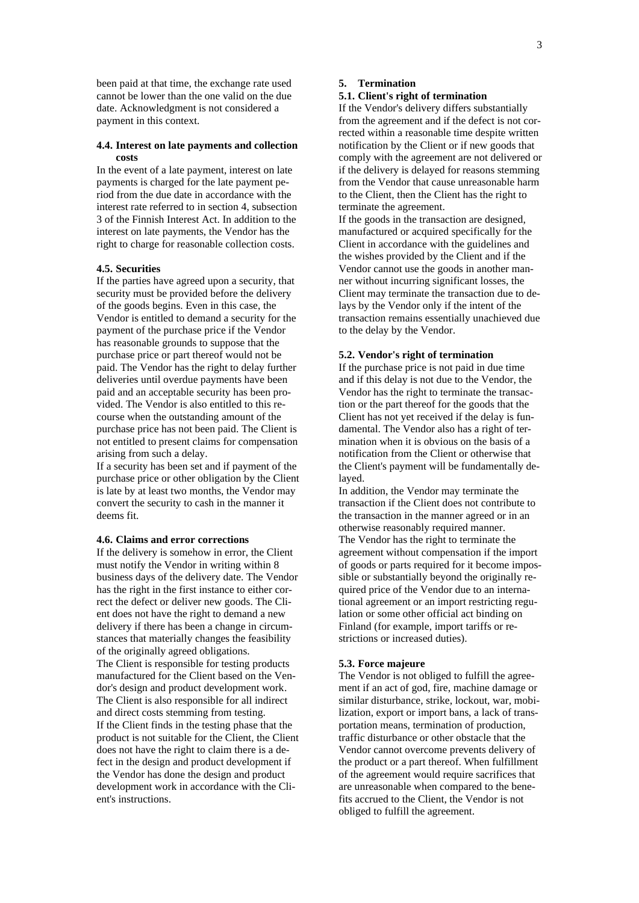been paid at that time, the exchange rate used cannot be lower than the one valid on the due date. Acknowledgment is not considered a payment in this context.

#### **4.4. Interest on late payments and collection costs**

In the event of a late payment, interest on late payments is charged for the late payment period from the due date in accordance with the interest rate referred to in section 4, subsection 3 of the Finnish Interest Act. In addition to the interest on late payments, the Vendor has the right to charge for reasonable collection costs.

# **4.5. Securities**

If the parties have agreed upon a security, that security must be provided before the delivery of the goods begins. Even in this case, the Vendor is entitled to demand a security for the payment of the purchase price if the Vendor has reasonable grounds to suppose that the purchase price or part thereof would not be paid. The Vendor has the right to delay further deliveries until overdue payments have been paid and an acceptable security has been provided. The Vendor is also entitled to this recourse when the outstanding amount of the purchase price has not been paid. The Client is not entitled to present claims for compensation arising from such a delay.

If a security has been set and if payment of the purchase price or other obligation by the Client is late by at least two months, the Vendor may convert the security to cash in the manner it deems fit.

# **4.6. Claims and error corrections**

If the delivery is somehow in error, the Client must notify the Vendor in writing within 8 business days of the delivery date. The Vendor has the right in the first instance to either correct the defect or deliver new goods. The Client does not have the right to demand a new delivery if there has been a change in circumstances that materially changes the feasibility of the originally agreed obligations. The Client is responsible for testing products manufactured for the Client based on the Vendor's design and product development work. The Client is also responsible for all indirect and direct costs stemming from testing. If the Client finds in the testing phase that the product is not suitable for the Client, the Client does not have the right to claim there is a defect in the design and product development if the Vendor has done the design and product development work in accordance with the Client's instructions.

### **5. Termination**

# **5.1. Client's right of termination**

If the Vendor's delivery differs substantially from the agreement and if the defect is not corrected within a reasonable time despite written notification by the Client or if new goods that comply with the agreement are not delivered or if the delivery is delayed for reasons stemming from the Vendor that cause unreasonable harm to the Client, then the Client has the right to terminate the agreement.

If the goods in the transaction are designed, manufactured or acquired specifically for the Client in accordance with the guidelines and the wishes provided by the Client and if the Vendor cannot use the goods in another manner without incurring significant losses, the Client may terminate the transaction due to delays by the Vendor only if the intent of the transaction remains essentially unachieved due to the delay by the Vendor.

#### **5.2. Vendor's right of termination**

If the purchase price is not paid in due time and if this delay is not due to the Vendor, the Vendor has the right to terminate the transaction or the part thereof for the goods that the Client has not yet received if the delay is fundamental. The Vendor also has a right of termination when it is obvious on the basis of a notification from the Client or otherwise that the Client's payment will be fundamentally delayed.

In addition, the Vendor may terminate the transaction if the Client does not contribute to the transaction in the manner agreed or in an otherwise reasonably required manner. The Vendor has the right to terminate the agreement without compensation if the import of goods or parts required for it become impossible or substantially beyond the originally required price of the Vendor due to an international agreement or an import restricting regulation or some other official act binding on Finland (for example, import tariffs or restrictions or increased duties).

#### **5.3. Force majeure**

The Vendor is not obliged to fulfill the agreement if an act of god, fire, machine damage or similar disturbance, strike, lockout, war, mobilization, export or import bans, a lack of transportation means, termination of production, traffic disturbance or other obstacle that the Vendor cannot overcome prevents delivery of the product or a part thereof. When fulfillment of the agreement would require sacrifices that are unreasonable when compared to the benefits accrued to the Client, the Vendor is not obliged to fulfill the agreement.